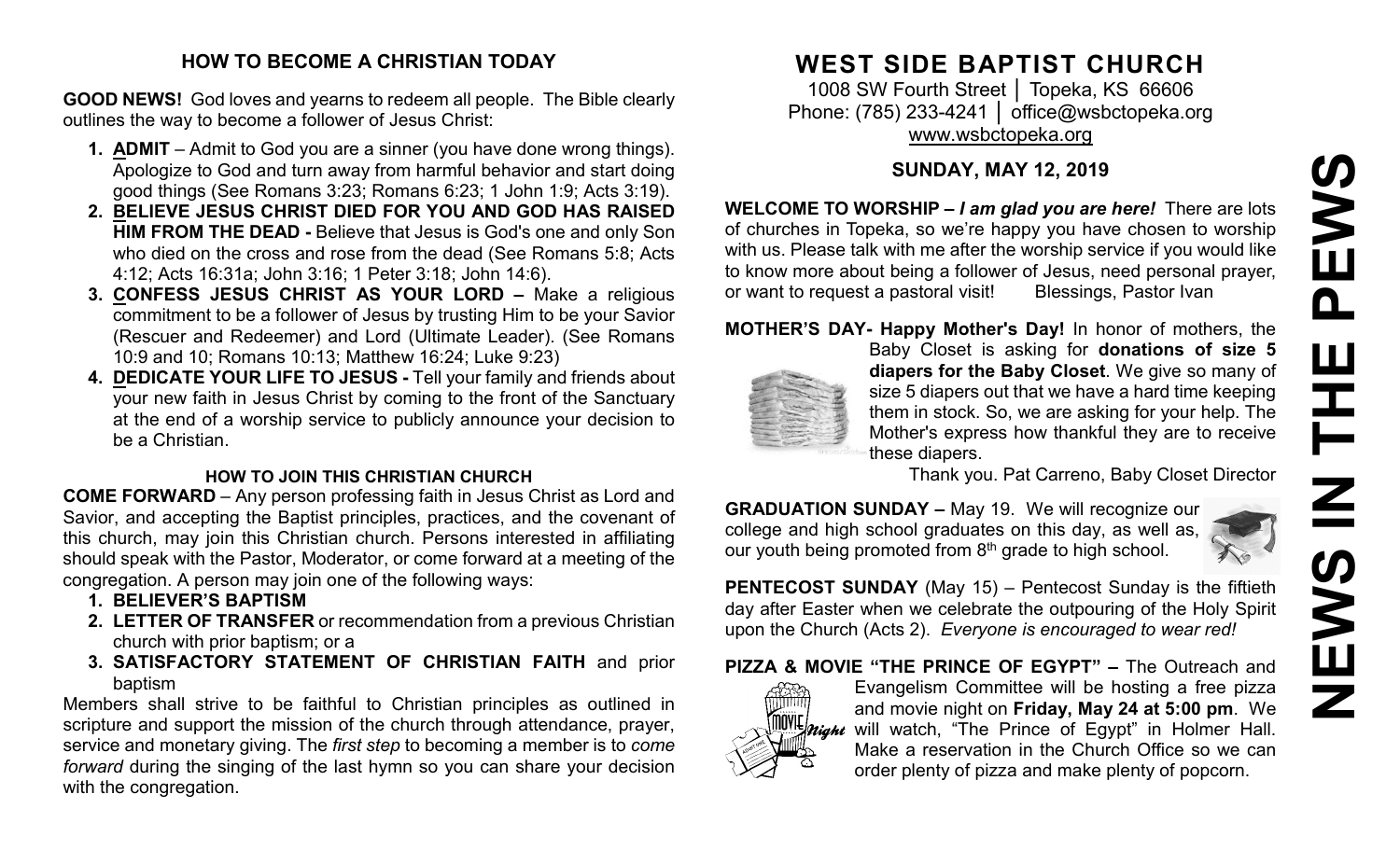# **NEWS IN THE PEWS**PEWS THE  $\mathbf{Z}$ **SWEN**

#### **HOW TO BECOME A CHRISTIAN TODAY**

**GOOD NEWS!** God loves and yearns to redeem all people. The Bible clearly outlines the way to become a follower of Jesus Christ:

- **1. ADMIT** Admit to God you are a sinner (you have done wrong things). Apologize to God and turn away from harmful behavior and start doing good things (See Romans 3:23; Romans 6:23; 1 John 1:9; Acts 3:19).
- **2. BELIEVE JESUS CHRIST DIED FOR YOU AND GOD HAS RAISED HIM FROM THE DEAD -** Believe that Jesus is God's one and only Son who died on the cross and rose from the dead (See Romans 5:8; Acts 4:12; Acts 16:31a; John 3:16; 1 Peter 3:18; John 14:6).
- **3. CONFESS JESUS CHRIST AS YOUR LORD –** Make a religious commitment to be a follower of Jesus by trusting Him to be your Savior (Rescuer and Redeemer) and Lord (Ultimate Leader). (See Romans 10:9 and 10; Romans 10:13; Matthew 16:24; Luke 9:23)
- **4. DEDICATE YOUR LIFE TO JESUS -** Tell your family and friends about your new faith in Jesus Christ by coming to the front of the Sanctuary at the end of a worship service to publicly announce your decision to be a Christian.

#### **HOW TO JOIN THIS CHRISTIAN CHURCH**

**COME FORWARD** – Any person professing faith in Jesus Christ as Lord and Savior, and accepting the Baptist principles, practices, and the covenant of this church, may join this Christian church. Persons interested in affiliating should speak with the Pastor, Moderator, or come forward at a meeting of the congregation. A person may join one of the following ways:

- **1. BELIEVER'S BAPTISM**
- **2. LETTER OF TRANSFER** or recommendation from a previous Christian church with prior baptism; or a
- **3. SATISFACTORY STATEMENT OF CHRISTIAN FAITH** and prior baptism

Members shall strive to be faithful to Christian principles as outlined in scripture and support the mission of the church through attendance, prayer, service and monetary giving. The *first step* to becoming a member is to *come forward* during the singing of the last hymn so you can share your decision with the congregation.

# **WEST SIDE BAPTIST CHURCH**

1008 SW Fourth Street | Topeka, KS 66606 Phone: (785) 233-4241 │ [office@wsbctopeka.org](mailto:office@wsbctopeka.org) [www.wsbctopeka.org](http://www.wsbctopeka.org/)

## **SUNDAY, MAY 12, 2019**

**WELCOME TO WORSHIP –** *I am glad you are here!* There are lots of churches in Topeka, so we're happy you have chosen to worship with us. Please talk with me after the worship service if you would like to know more about being a follower of Jesus, need personal prayer, or want to request a pastoral visit! Blessings, Pastor Ivan

### **MOTHER'S DAY- Happy Mother's Day!** In honor of mothers, the



Baby Closet is asking for **donations of size 5 diapers for the Baby Closet**. We give so many of size 5 diapers out that we have a hard time keeping them in stock. So, we are asking for your help. The Mother's express how thankful they are to receive these diapers.

Thank you. Pat Carreno, Baby Closet Director

**GRADUATION SUNDAY –** May 19. We will recognize our college and high school graduates on this day, as well as, our youth being promoted from  $8<sup>th</sup>$  grade to high school.



**PENTECOST SUNDAY** (May 15) – Pentecost Sunday is the fiftieth day after Easter when we celebrate the outpouring of the Holy Spirit upon the Church (Acts 2). *Everyone is encouraged to wear red!*

**PIZZA & MOVIE "THE PRINCE OF EGYPT" –** The Outreach and



Evangelism Committee will be hosting a free pizza and movie night on **Friday, May 24 at 5:00 pm**. We WL*night* will watch, "The Prince of Egypt" in Holmer Hall. Make a reservation in the Church Office so we can order plenty of pizza and make plenty of popcorn.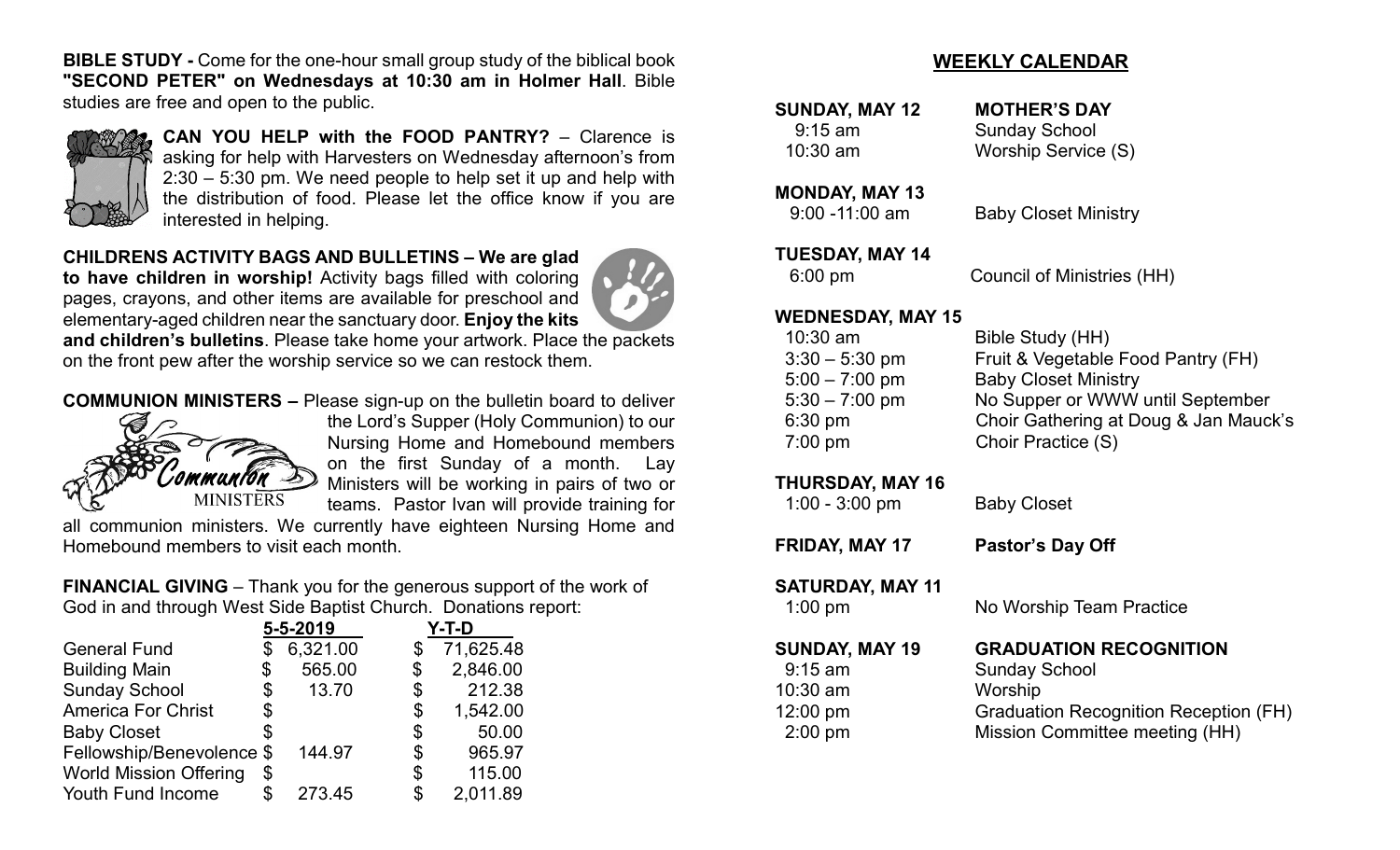**BIBLE STUDY -** Come for the one-hour small group study of the biblical book **"SECOND PETER" on Wednesdays at 10:30 am in Holmer Hall**. Bible studies are free and open to the public.



**CAN YOU HELP with the FOOD PANTRY?** – Clarence is asking for help with Harvesters on Wednesday afternoon's from 2:30 – 5:30 pm. We need people to help set it up and help with the distribution of food. Please let the office know if you are interested in helping.

**CHILDRENS ACTIVITY BAGS AND BULLETINS – We are glad** 

**to have children in worship!** Activity bags filled with coloring pages, crayons, and other items are available for preschool and elementary-aged children near the sanctuary door. **Enjoy the kits** 

**and children's bulletins**. Please take home your artwork. Place the packets on the front pew after the worship service so we can restock them.

**COMMUNION MINISTERS –** Please sign-up on the bulletin board to deliver



the Lord's Supper (Holy Communion) to our Nursing Home and Homebound members on the first Sunday of a month. Lay Ministers will be working in pairs of two or teams. Pastor Ivan will provide training for

all communion ministers. We currently have eighteen Nursing Home and Homebound members to visit each month.

**FINANCIAL GIVING** – Thank you for the generous support of the work of God in and through West Side Baptist Church. Donations report:

| $5 - 5 - 2019$ |                           | Y-T-D |           |
|----------------|---------------------------|-------|-----------|
|                | 6,321.00                  | \$    | 71,625.48 |
| \$             | 565.00                    | \$    | 2,846.00  |
| \$             | 13.70                     | \$    | 212.38    |
| \$             |                           | \$    | 1,542.00  |
| \$             |                           | \$    | 50.00     |
|                | 144.97                    | \$    | 965.97    |
| \$             |                           | \$    | 115.00    |
| S              | 273.45                    | \$    | 2,011.89  |
|                | Fellowship/Benevolence \$ |       |           |

#### **WEEKLY CALENDAR**

| <b>SUNDAY, MAY 12</b><br>$9:15$ am | <b>MOTHER'S DAY</b><br><b>Sunday School</b>                 |  |
|------------------------------------|-------------------------------------------------------------|--|
| 10:30 am                           | <b>Worship Service (S)</b>                                  |  |
| <b>MONDAY, MAY 13</b>              |                                                             |  |
| $9:00 - 11:00$ am                  | <b>Baby Closet Ministry</b>                                 |  |
| <b>TUESDAY, MAY 14</b>             |                                                             |  |
| $6:00$ pm                          | <b>Council of Ministries (HH)</b>                           |  |
| <b>WEDNESDAY, MAY 15</b>           |                                                             |  |
| 10:30 am                           | Bible Study (HH)                                            |  |
| $3:30 - 5:30$ pm                   | Fruit & Vegetable Food Pantry (FH)                          |  |
| $5:00 - 7:00$ pm                   | <b>Baby Closet Ministry</b>                                 |  |
| $5:30 - 7:00$ pm                   | No Supper or WWW until September                            |  |
| 6:30 pm<br>$7:00$ pm               | Choir Gathering at Doug & Jan Mauck's<br>Choir Practice (S) |  |
|                                    |                                                             |  |
| <b>THURSDAY, MAY 16</b>            |                                                             |  |
| $1:00 - 3:00$ pm                   | <b>Baby Closet</b>                                          |  |
| FRIDAY, MAY 17                     | Pastor's Day Off                                            |  |
| <b>SATURDAY, MAY 11</b>            |                                                             |  |
| $1:00$ pm                          | No Worship Team Practice                                    |  |
| <b>SUNDAY, MAY 19</b>              | <b>GRADUATION RECOGNITION</b>                               |  |
| $9:15$ am                          | <b>Sunday School</b>                                        |  |
| 10:30 am                           | Worship                                                     |  |
| 12:00 pm                           | <b>Graduation Recognition Reception (FH)</b>                |  |
| $2:00$ pm                          | Mission Committee meeting (HH)                              |  |
|                                    |                                                             |  |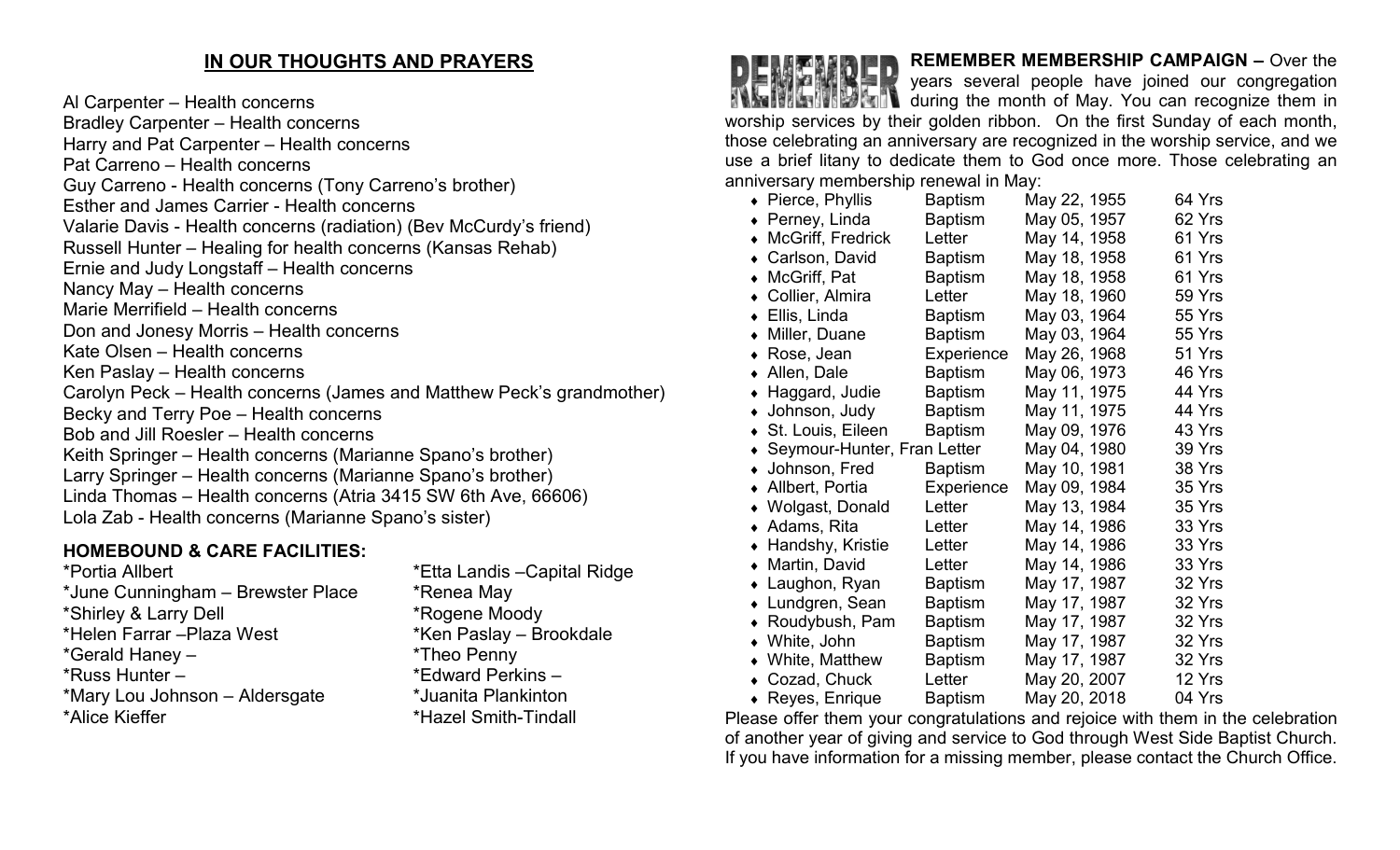#### **IN OUR THOUGHTS AND PRAYERS**

Al Carpenter – Health concerns Bradley Carpenter – Health concerns Harry and Pat Carpenter – Health concerns Pat Carreno – Health concerns Guy Carreno - Health concerns (Tony Carreno's brother) Esther and James Carrier - Health concerns Valarie Davis - Health concerns (radiation) (Bev McCurdy's friend) Russell Hunter – Healing for health concerns (Kansas Rehab) Ernie and Judy Longstaff – Health concerns Nancy May – Health concerns Marie Merrifield – Health concerns Don and Jonesy Morris – Health concerns Kate Olsen – Health concerns Ken Paslay – Health concerns Carolyn Peck – Health concerns (James and Matthew Peck's grandmother) Becky and Terry Poe – Health concerns Bob and Jill Roesler – Health concerns Keith Springer – Health concerns (Marianne Spano's brother) Larry Springer – Health concerns (Marianne Spano's brother) Linda Thomas – Health concerns (Atria 3415 SW 6th Ave, 66606) Lola Zab - Health concerns (Marianne Spano's sister)

#### **HOMEBOUND & CARE FACILITIES:**

\*Portia Allbert \*Etta Landis –Capital Ridge \*June Cunningham – Brewster Place \* \* Renea May \*Shirley & Larry Dell \*Rogene Moody \*Gerald Haney – \*Theo Penny \*Russ Hunter – \*Edward Perkins – \*Mary Lou Johnson – Aldersgate \*Juanita Plankinton \*Alice Kieffer \*Hazel Smith-Tindall

\*Ken Paslay – Brookdale

**REMEMBER MEMBERSHIP CAMPAIGN –** Over the years several people have joined our congregation **THE RICHTS IN STATE of May. You can recognize them in** worship services by their golden ribbon. On the first Sunday of each month, those celebrating an anniversary are recognized in the worship service, and we use a brief litany to dedicate them to God once more. Those celebrating an anniversary membership renewal in May:

| $\bullet$ Pierce, Phyllis                | <b>Baptism</b> | May 22, 1955 | 64 Yrs |
|------------------------------------------|----------------|--------------|--------|
| Perney, Linda                            | <b>Baptism</b> | May 05, 1957 | 62 Yrs |
| McGriff, Fredrick                        | Letter         | May 14, 1958 | 61 Yrs |
| Carlson, David                           | <b>Baptism</b> | May 18, 1958 | 61 Yrs |
| McGriff, Pat                             | <b>Baptism</b> | May 18, 1958 | 61 Yrs |
| Collier, Almira                          | Letter         | May 18, 1960 | 59 Yrs |
| ◆ Ellis, Linda                           | <b>Baptism</b> | May 03, 1964 | 55 Yrs |
| Miller, Duane                            | <b>Baptism</b> | May 03, 1964 | 55 Yrs |
| Rose, Jean                               | Experience     | May 26, 1968 | 51 Yrs |
| Allen, Dale<br>$\bullet$                 | <b>Baptism</b> | May 06, 1973 | 46 Yrs |
| Haggard, Judie<br>$\bullet$              | <b>Baptism</b> | May 11, 1975 | 44 Yrs |
| • Johnson, Judy                          | <b>Baptism</b> | May 11, 1975 | 44 Yrs |
| ◆ St. Louis, Eileen                      | <b>Baptism</b> | May 09, 1976 | 43 Yrs |
| Seymour-Hunter, Fran Letter<br>$\bullet$ |                | May 04, 1980 | 39 Yrs |
| • Johnson, Fred                          | <b>Baptism</b> | May 10, 1981 | 38 Yrs |
| Allbert, Portia                          | Experience     | May 09, 1984 | 35 Yrs |
| • Wolgast, Donald                        | Letter         | May 13, 1984 | 35 Yrs |
| $\bullet$ Adams, Rita                    | Letter         | May 14, 1986 | 33 Yrs |
| ◆ Handshy, Kristie                       | Letter         | May 14, 1986 | 33 Yrs |
| • Martin, David                          | Letter         | May 14, 1986 | 33 Yrs |
| Laughon, Ryan                            | <b>Baptism</b> | May 17, 1987 | 32 Yrs |
| • Lundgren, Sean                         | <b>Baptism</b> | May 17, 1987 | 32 Yrs |
| ◆ Roudybush, Pam                         | <b>Baptism</b> | May 17, 1987 | 32 Yrs |
| • White, John                            | <b>Baptism</b> | May 17, 1987 | 32 Yrs |
| • White, Matthew                         | <b>Baptism</b> | May 17, 1987 | 32 Yrs |
| Cozad, Chuck<br>$\bullet$                | Letter         | May 20, 2007 | 12 Yrs |
| $\bullet$ Reyes, Enrique                 | Baptism        | May 20, 2018 | 04 Yrs |

Please offer them your congratulations and rejoice with them in the celebration of another year of giving and service to God through West Side Baptist Church. If you have information for a missing member, please contact the Church Office.